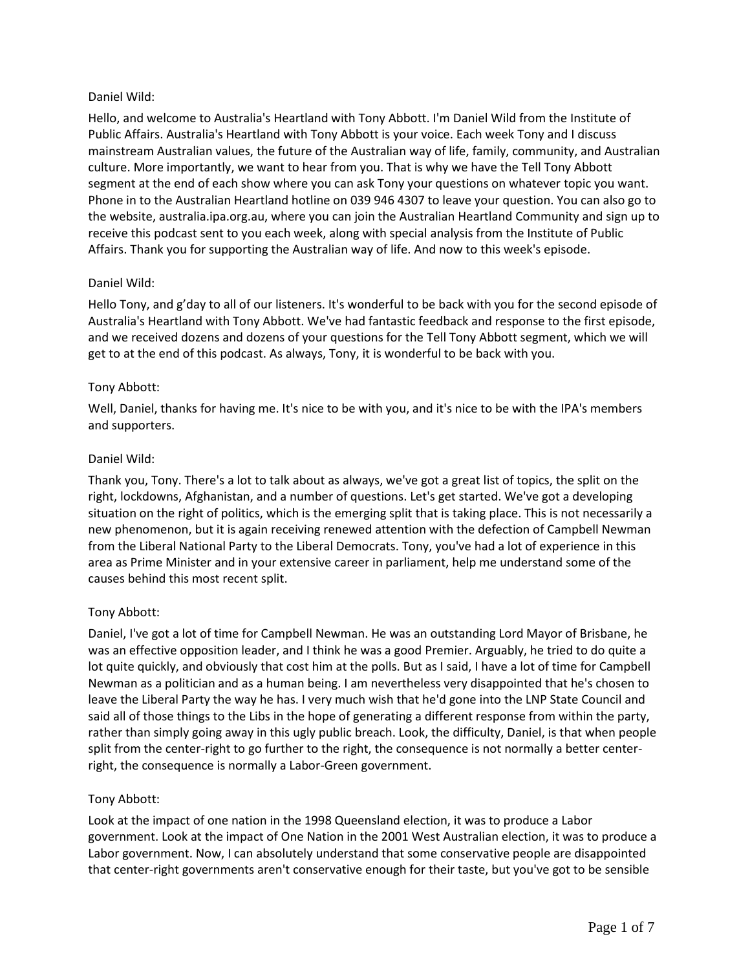### Daniel Wild:

Hello, and welcome to Australia's Heartland with Tony Abbott. I'm Daniel Wild from the Institute of Public Affairs. Australia's Heartland with Tony Abbott is your voice. Each week Tony and I discuss mainstream Australian values, the future of the Australian way of life, family, community, and Australian culture. More importantly, we want to hear from you. That is why we have the Tell Tony Abbott segment at the end of each show where you can ask Tony your questions on whatever topic you want. Phone in to the Australian Heartland hotline on 039 946 4307 to leave your question. You can also go to the website, australia.ipa.org.au, where you can join the Australian Heartland Community and sign up to receive this podcast sent to you each week, along with special analysis from the Institute of Public Affairs. Thank you for supporting the Australian way of life. And now to this week's episode.

# Daniel Wild:

Hello Tony, and g'day to all of our listeners. It's wonderful to be back with you for the second episode of Australia's Heartland with Tony Abbott. We've had fantastic feedback and response to the first episode, and we received dozens and dozens of your questions for the Tell Tony Abbott segment, which we will get to at the end of this podcast. As always, Tony, it is wonderful to be back with you.

# Tony Abbott:

Well, Daniel, thanks for having me. It's nice to be with you, and it's nice to be with the IPA's members and supporters.

# Daniel Wild:

Thank you, Tony. There's a lot to talk about as always, we've got a great list of topics, the split on the right, lockdowns, Afghanistan, and a number of questions. Let's get started. We've got a developing situation on the right of politics, which is the emerging split that is taking place. This is not necessarily a new phenomenon, but it is again receiving renewed attention with the defection of Campbell Newman from the Liberal National Party to the Liberal Democrats. Tony, you've had a lot of experience in this area as Prime Minister and in your extensive career in parliament, help me understand some of the causes behind this most recent split.

# Tony Abbott:

Daniel, I've got a lot of time for Campbell Newman. He was an outstanding Lord Mayor of Brisbane, he was an effective opposition leader, and I think he was a good Premier. Arguably, he tried to do quite a lot quite quickly, and obviously that cost him at the polls. But as I said, I have a lot of time for Campbell Newman as a politician and as a human being. I am nevertheless very disappointed that he's chosen to leave the Liberal Party the way he has. I very much wish that he'd gone into the LNP State Council and said all of those things to the Libs in the hope of generating a different response from within the party, rather than simply going away in this ugly public breach. Look, the difficulty, Daniel, is that when people split from the center-right to go further to the right, the consequence is not normally a better centerright, the consequence is normally a Labor-Green government.

### Tony Abbott:

Look at the impact of one nation in the 1998 Queensland election, it was to produce a Labor government. Look at the impact of One Nation in the 2001 West Australian election, it was to produce a Labor government. Now, I can absolutely understand that some conservative people are disappointed that center-right governments aren't conservative enough for their taste, but you've got to be sensible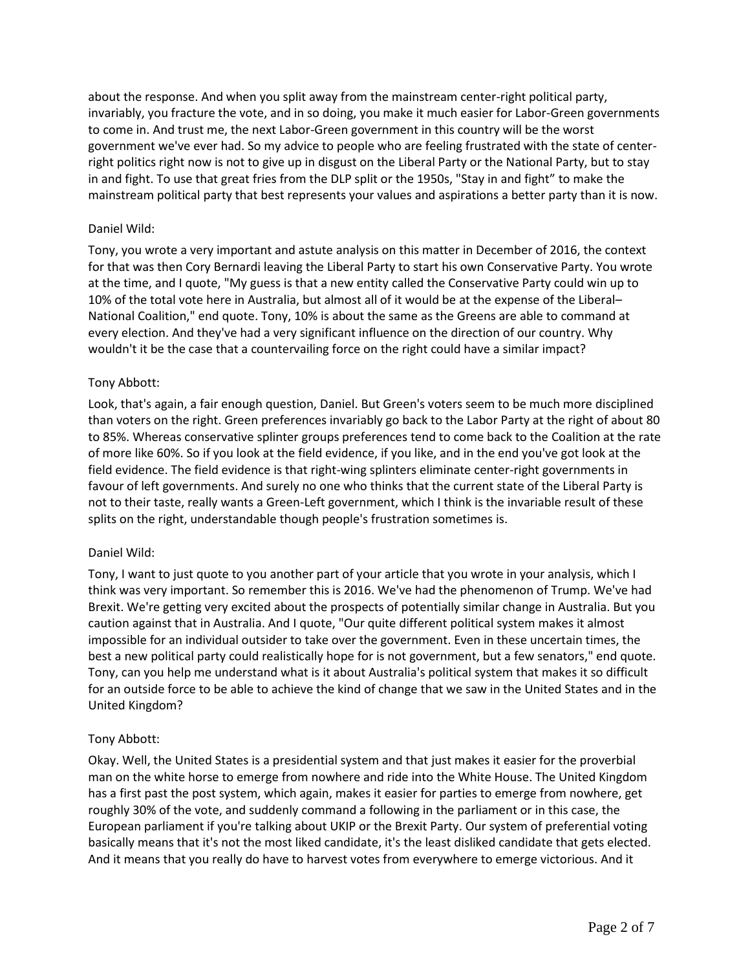about the response. And when you split away from the mainstream center-right political party, invariably, you fracture the vote, and in so doing, you make it much easier for Labor-Green governments to come in. And trust me, the next Labor-Green government in this country will be the worst government we've ever had. So my advice to people who are feeling frustrated with the state of centerright politics right now is not to give up in disgust on the Liberal Party or the National Party, but to stay in and fight. To use that great fries from the DLP split or the 1950s, "Stay in and fight" to make the mainstream political party that best represents your values and aspirations a better party than it is now.

### Daniel Wild:

Tony, you wrote a very important and astute analysis on this matter in December of 2016, the context for that was then Cory Bernardi leaving the Liberal Party to start his own Conservative Party. You wrote at the time, and I quote, "My guess is that a new entity called the Conservative Party could win up to 10% of the total vote here in Australia, but almost all of it would be at the expense of the Liberal– National Coalition," end quote. Tony, 10% is about the same as the Greens are able to command at every election. And they've had a very significant influence on the direction of our country. Why wouldn't it be the case that a countervailing force on the right could have a similar impact?

# Tony Abbott:

Look, that's again, a fair enough question, Daniel. But Green's voters seem to be much more disciplined than voters on the right. Green preferences invariably go back to the Labor Party at the right of about 80 to 85%. Whereas conservative splinter groups preferences tend to come back to the Coalition at the rate of more like 60%. So if you look at the field evidence, if you like, and in the end you've got look at the field evidence. The field evidence is that right-wing splinters eliminate center-right governments in favour of left governments. And surely no one who thinks that the current state of the Liberal Party is not to their taste, really wants a Green-Left government, which I think is the invariable result of these splits on the right, understandable though people's frustration sometimes is.

### Daniel Wild:

Tony, I want to just quote to you another part of your article that you wrote in your analysis, which I think was very important. So remember this is 2016. We've had the phenomenon of Trump. We've had Brexit. We're getting very excited about the prospects of potentially similar change in Australia. But you caution against that in Australia. And I quote, "Our quite different political system makes it almost impossible for an individual outsider to take over the government. Even in these uncertain times, the best a new political party could realistically hope for is not government, but a few senators," end quote. Tony, can you help me understand what is it about Australia's political system that makes it so difficult for an outside force to be able to achieve the kind of change that we saw in the United States and in the United Kingdom?

### Tony Abbott:

Okay. Well, the United States is a presidential system and that just makes it easier for the proverbial man on the white horse to emerge from nowhere and ride into the White House. The United Kingdom has a first past the post system, which again, makes it easier for parties to emerge from nowhere, get roughly 30% of the vote, and suddenly command a following in the parliament or in this case, the European parliament if you're talking about UKIP or the Brexit Party. Our system of preferential voting basically means that it's not the most liked candidate, it's the least disliked candidate that gets elected. And it means that you really do have to harvest votes from everywhere to emerge victorious. And it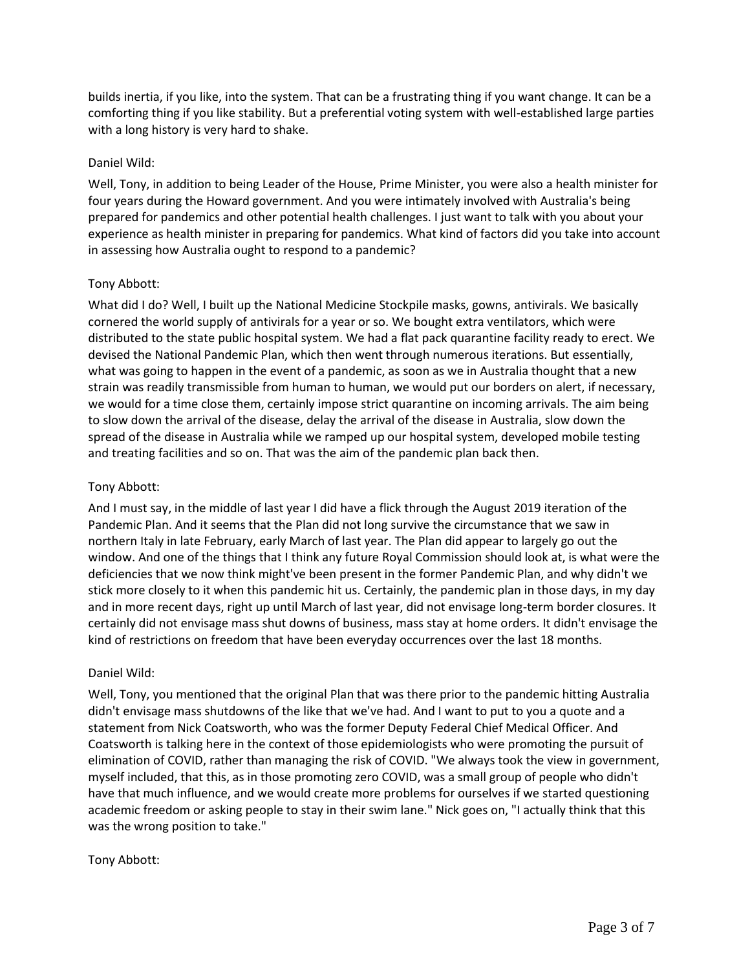builds inertia, if you like, into the system. That can be a frustrating thing if you want change. It can be a comforting thing if you like stability. But a preferential voting system with well-established large parties with a long history is very hard to shake.

### Daniel Wild:

Well, Tony, in addition to being Leader of the House, Prime Minister, you were also a health minister for four years during the Howard government. And you were intimately involved with Australia's being prepared for pandemics and other potential health challenges. I just want to talk with you about your experience as health minister in preparing for pandemics. What kind of factors did you take into account in assessing how Australia ought to respond to a pandemic?

#### Tony Abbott:

What did I do? Well, I built up the National Medicine Stockpile masks, gowns, antivirals. We basically cornered the world supply of antivirals for a year or so. We bought extra ventilators, which were distributed to the state public hospital system. We had a flat pack quarantine facility ready to erect. We devised the National Pandemic Plan, which then went through numerous iterations. But essentially, what was going to happen in the event of a pandemic, as soon as we in Australia thought that a new strain was readily transmissible from human to human, we would put our borders on alert, if necessary, we would for a time close them, certainly impose strict quarantine on incoming arrivals. The aim being to slow down the arrival of the disease, delay the arrival of the disease in Australia, slow down the spread of the disease in Australia while we ramped up our hospital system, developed mobile testing and treating facilities and so on. That was the aim of the pandemic plan back then.

#### Tony Abbott:

And I must say, in the middle of last year I did have a flick through the August 2019 iteration of the Pandemic Plan. And it seems that the Plan did not long survive the circumstance that we saw in northern Italy in late February, early March of last year. The Plan did appear to largely go out the window. And one of the things that I think any future Royal Commission should look at, is what were the deficiencies that we now think might've been present in the former Pandemic Plan, and why didn't we stick more closely to it when this pandemic hit us. Certainly, the pandemic plan in those days, in my day and in more recent days, right up until March of last year, did not envisage long-term border closures. It certainly did not envisage mass shut downs of business, mass stay at home orders. It didn't envisage the kind of restrictions on freedom that have been everyday occurrences over the last 18 months.

### Daniel Wild:

Well, Tony, you mentioned that the original Plan that was there prior to the pandemic hitting Australia didn't envisage mass shutdowns of the like that we've had. And I want to put to you a quote and a statement from Nick Coatsworth, who was the former Deputy Federal Chief Medical Officer. And Coatsworth is talking here in the context of those epidemiologists who were promoting the pursuit of elimination of COVID, rather than managing the risk of COVID. "We always took the view in government, myself included, that this, as in those promoting zero COVID, was a small group of people who didn't have that much influence, and we would create more problems for ourselves if we started questioning academic freedom or asking people to stay in their swim lane." Nick goes on, "I actually think that this was the wrong position to take."

### Tony Abbott: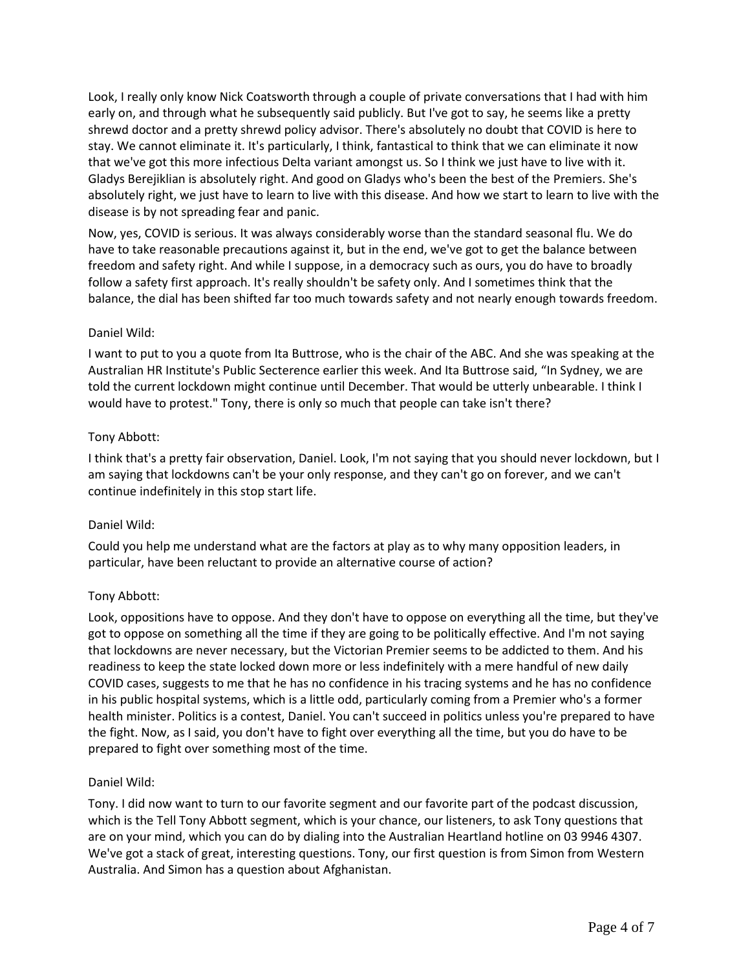Look, I really only know Nick Coatsworth through a couple of private conversations that I had with him early on, and through what he subsequently said publicly. But I've got to say, he seems like a pretty shrewd doctor and a pretty shrewd policy advisor. There's absolutely no doubt that COVID is here to stay. We cannot eliminate it. It's particularly, I think, fantastical to think that we can eliminate it now that we've got this more infectious Delta variant amongst us. So I think we just have to live with it. Gladys Berejiklian is absolutely right. And good on Gladys who's been the best of the Premiers. She's absolutely right, we just have to learn to live with this disease. And how we start to learn to live with the disease is by not spreading fear and panic.

Now, yes, COVID is serious. It was always considerably worse than the standard seasonal flu. We do have to take reasonable precautions against it, but in the end, we've got to get the balance between freedom and safety right. And while I suppose, in a democracy such as ours, you do have to broadly follow a safety first approach. It's really shouldn't be safety only. And I sometimes think that the balance, the dial has been shifted far too much towards safety and not nearly enough towards freedom.

### Daniel Wild:

I want to put to you a quote from Ita Buttrose, who is the chair of the ABC. And she was speaking at the Australian HR Institute's Public Secterence earlier this week. And Ita Buttrose said, "In Sydney, we are told the current lockdown might continue until December. That would be utterly unbearable. I think I would have to protest." Tony, there is only so much that people can take isn't there?

### Tony Abbott:

I think that's a pretty fair observation, Daniel. Look, I'm not saying that you should never lockdown, but I am saying that lockdowns can't be your only response, and they can't go on forever, and we can't continue indefinitely in this stop start life.

### Daniel Wild:

Could you help me understand what are the factors at play as to why many opposition leaders, in particular, have been reluctant to provide an alternative course of action?

### Tony Abbott:

Look, oppositions have to oppose. And they don't have to oppose on everything all the time, but they've got to oppose on something all the time if they are going to be politically effective. And I'm not saying that lockdowns are never necessary, but the Victorian Premier seems to be addicted to them. And his readiness to keep the state locked down more or less indefinitely with a mere handful of new daily COVID cases, suggests to me that he has no confidence in his tracing systems and he has no confidence in his public hospital systems, which is a little odd, particularly coming from a Premier who's a former health minister. Politics is a contest, Daniel. You can't succeed in politics unless you're prepared to have the fight. Now, as I said, you don't have to fight over everything all the time, but you do have to be prepared to fight over something most of the time.

### Daniel Wild:

Tony. I did now want to turn to our favorite segment and our favorite part of the podcast discussion, which is the Tell Tony Abbott segment, which is your chance, our listeners, to ask Tony questions that are on your mind, which you can do by dialing into the Australian Heartland hotline on 03 9946 4307. We've got a stack of great, interesting questions. Tony, our first question is from Simon from Western Australia. And Simon has a question about Afghanistan.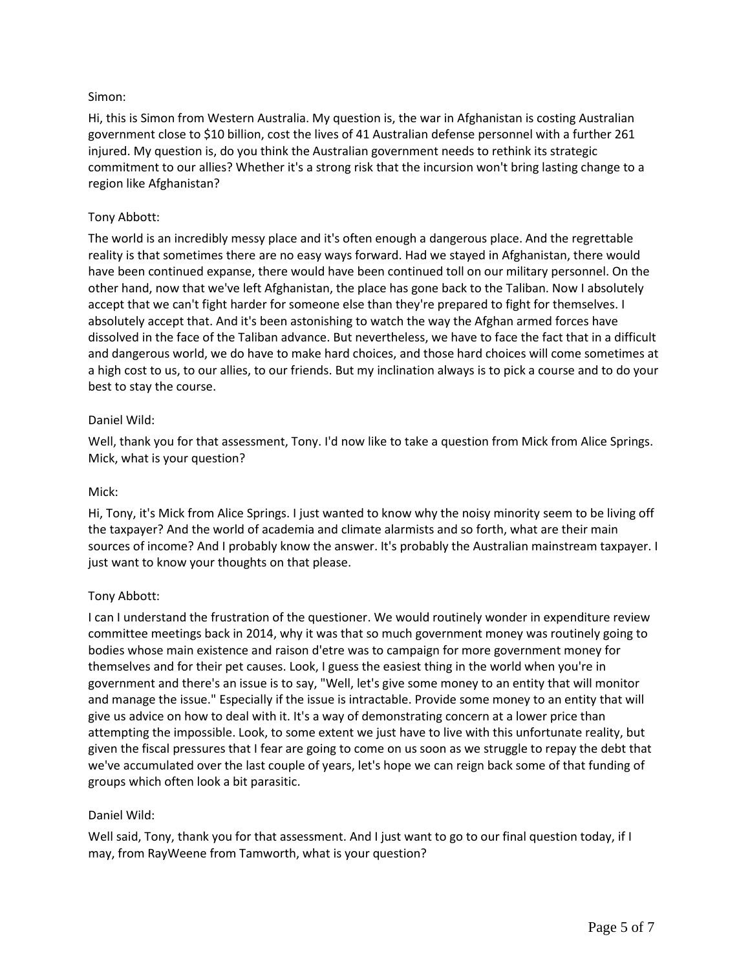# Simon:

Hi, this is Simon from Western Australia. My question is, the war in Afghanistan is costing Australian government close to \$10 billion, cost the lives of 41 Australian defense personnel with a further 261 injured. My question is, do you think the Australian government needs to rethink its strategic commitment to our allies? Whether it's a strong risk that the incursion won't bring lasting change to a region like Afghanistan?

### Tony Abbott:

The world is an incredibly messy place and it's often enough a dangerous place. And the regrettable reality is that sometimes there are no easy ways forward. Had we stayed in Afghanistan, there would have been continued expanse, there would have been continued toll on our military personnel. On the other hand, now that we've left Afghanistan, the place has gone back to the Taliban. Now I absolutely accept that we can't fight harder for someone else than they're prepared to fight for themselves. I absolutely accept that. And it's been astonishing to watch the way the Afghan armed forces have dissolved in the face of the Taliban advance. But nevertheless, we have to face the fact that in a difficult and dangerous world, we do have to make hard choices, and those hard choices will come sometimes at a high cost to us, to our allies, to our friends. But my inclination always is to pick a course and to do your best to stay the course.

### Daniel Wild:

Well, thank you for that assessment, Tony. I'd now like to take a question from Mick from Alice Springs. Mick, what is your question?

### Mick:

Hi, Tony, it's Mick from Alice Springs. I just wanted to know why the noisy minority seem to be living off the taxpayer? And the world of academia and climate alarmists and so forth, what are their main sources of income? And I probably know the answer. It's probably the Australian mainstream taxpayer. I just want to know your thoughts on that please.

### Tony Abbott:

I can I understand the frustration of the questioner. We would routinely wonder in expenditure review committee meetings back in 2014, why it was that so much government money was routinely going to bodies whose main existence and raison d'etre was to campaign for more government money for themselves and for their pet causes. Look, I guess the easiest thing in the world when you're in government and there's an issue is to say, "Well, let's give some money to an entity that will monitor and manage the issue." Especially if the issue is intractable. Provide some money to an entity that will give us advice on how to deal with it. It's a way of demonstrating concern at a lower price than attempting the impossible. Look, to some extent we just have to live with this unfortunate reality, but given the fiscal pressures that I fear are going to come on us soon as we struggle to repay the debt that we've accumulated over the last couple of years, let's hope we can reign back some of that funding of groups which often look a bit parasitic.

### Daniel Wild:

Well said, Tony, thank you for that assessment. And I just want to go to our final question today, if I may, from RayWeene from Tamworth, what is your question?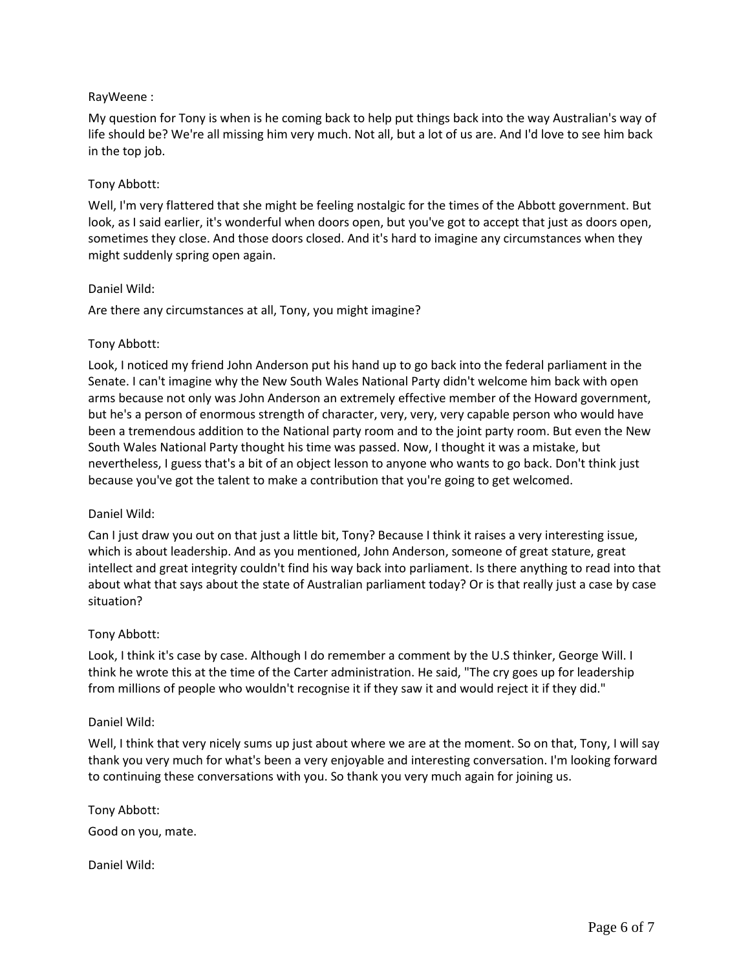### RayWeene :

My question for Tony is when is he coming back to help put things back into the way Australian's way of life should be? We're all missing him very much. Not all, but a lot of us are. And I'd love to see him back in the top job.

### Tony Abbott:

Well, I'm very flattered that she might be feeling nostalgic for the times of the Abbott government. But look, as I said earlier, it's wonderful when doors open, but you've got to accept that just as doors open, sometimes they close. And those doors closed. And it's hard to imagine any circumstances when they might suddenly spring open again.

#### Daniel Wild:

Are there any circumstances at all, Tony, you might imagine?

### Tony Abbott:

Look, I noticed my friend John Anderson put his hand up to go back into the federal parliament in the Senate. I can't imagine why the New South Wales National Party didn't welcome him back with open arms because not only was John Anderson an extremely effective member of the Howard government, but he's a person of enormous strength of character, very, very, very capable person who would have been a tremendous addition to the National party room and to the joint party room. But even the New South Wales National Party thought his time was passed. Now, I thought it was a mistake, but nevertheless, I guess that's a bit of an object lesson to anyone who wants to go back. Don't think just because you've got the talent to make a contribution that you're going to get welcomed.

### Daniel Wild:

Can I just draw you out on that just a little bit, Tony? Because I think it raises a very interesting issue, which is about leadership. And as you mentioned, John Anderson, someone of great stature, great intellect and great integrity couldn't find his way back into parliament. Is there anything to read into that about what that says about the state of Australian parliament today? Or is that really just a case by case situation?

### Tony Abbott:

Look, I think it's case by case. Although I do remember a comment by the U.S thinker, George Will. I think he wrote this at the time of the Carter administration. He said, "The cry goes up for leadership from millions of people who wouldn't recognise it if they saw it and would reject it if they did."

#### Daniel Wild:

Well, I think that very nicely sums up just about where we are at the moment. So on that, Tony, I will say thank you very much for what's been a very enjoyable and interesting conversation. I'm looking forward to continuing these conversations with you. So thank you very much again for joining us.

Tony Abbott: Good on you, mate.

Daniel Wild: